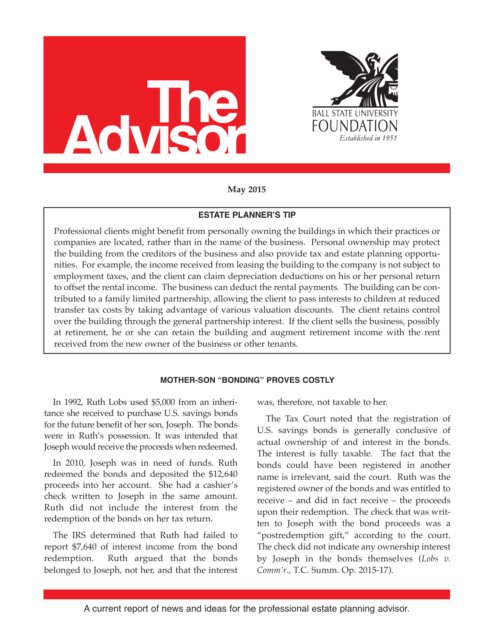



**May 2015**

# **ESTATE PLANNER'S TIP**

Professional clients might benefit from personally owning the buildings in which their practices or companies are located, rather than in the name of the business. Personal ownership may protect the building from the creditors of the business and also provide tax and estate planning opportunities. For example, the income received from leasing the building to the company is not subject to employment taxes, and the client can claim depreciation deductions on his or her personal return to offset the rental income. The business can deduct the rental payments. The building can be contributed to a family limited partnership, allowing the client to pass interests to children at reduced transfer tax costs by taking advantage of various valuation discounts. The client retains control over the building through the general partnership interest. If the client sells the business, possibly at retirement, he or she can retain the building and augment retirement income with the rent received from the new owner of the business or other tenants.

# **MOTHER-SON "BONDING" PROVES COSTLY**

In 1992, Ruth Lobs used \$5,000 from an inheritance she received to purchase U.S. savings bonds for the future benefit of her son, Joseph. The bonds were in Ruth's possession. It was intended that Joseph would receive the proceeds when redeemed.

In 2010, Joseph was in need of funds. Ruth redeemed the bonds and deposited the \$12,640 proceeds into her account. She had a cashier's check written to Joseph in the same amount. Ruth did not include the interest from the redemption of the bonds on her tax return.

The IRS determined that Ruth had failed to report \$7,640 of interest income from the bond redemption. Ruth argued that the bonds belonged to Joseph, not her, and that the interest was, therefore, not taxable to her.

The Tax Court noted that the registration of U.S. savings bonds is generally conclusive of actual ownership of and interest in the bonds. The interest is fully taxable. The fact that the bonds could have been registered in another name is irrelevant, said the court. Ruth was the registered owner of the bonds and was entitled to receive – and did in fact receive – the proceeds upon their redemption. The check that was written to Joseph with the bond proceeds was a "postredemption gift," according to the court. The check did not indicate any ownership interest by Joseph in the bonds themselves (*Lobs v. Comm'r*., T.C. Summ. Op. 2015-17).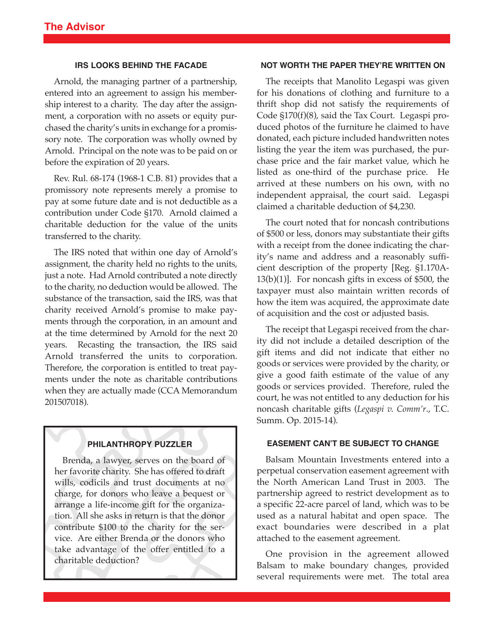#### **IRS LOOKS BEHIND THE FACADE**

Arnold, the managing partner of a partnership, entered into an agreement to assign his membership interest to a charity. The day after the assignment, a corporation with no assets or equity purchased the charity's units in exchange for a promissory note. The corporation was wholly owned by Arnold. Principal on the note was to be paid on or before the expiration of 20 years.

Rev. Rul. 68-174 (1968-1 C.B. 81) provides that a promissory note represents merely a promise to pay at some future date and is not deductible as a contribution under Code §170. Arnold claimed a charitable deduction for the value of the units transferred to the charity.

The IRS noted that within one day of Arnold's assignment, the charity held no rights to the units, just a note. Had Arnold contributed a note directly to the charity, no deduction would be allowed. The substance of the transaction, said the IRS, was that charity received Arnold's promise to make payments through the corporation, in an amount and at the time determined by Arnold for the next 20 years. Recasting the transaction, the IRS said Arnold transferred the units to corporation. Therefore, the corporation is entitled to treat payments under the note as charitable contributions when they are actually made (CCA Memorandum 201507018).

#### **PHILANTHROPY PUZZLER**

Brenda, a lawyer, serves on the board of her favorite charity. She has offered to draft wills, codicils and trust documents at no charge, for donors who leave a bequest or arrange a life-income gift for the organization. All she asks in return is that the donor contribute \$100 to the charity for the service. Are either Brenda or the donors who take advantage of the offer entitled to a charitable deduction?

#### **NOT WORTH THE PAPER THEY'RE WRITTEN ON**

The receipts that Manolito Legaspi was given for his donations of clothing and furniture to a thrift shop did not satisfy the requirements of Code §170(f)(8), said the Tax Court. Legaspi produced photos of the furniture he claimed to have donated, each picture included handwritten notes listing the year the item was purchased, the purchase price and the fair market value, which he listed as one-third of the purchase price. He arrived at these numbers on his own, with no independent appraisal, the court said. Legaspi claimed a charitable deduction of \$4,230.

The court noted that for noncash contributions of \$500 or less, donors may substantiate their gifts with a receipt from the donee indicating the charity's name and address and a reasonably sufficient description of the property [Reg. §1.170A-13(b)(1)]. For noncash gifts in excess of \$500, the taxpayer must also maintain written records of how the item was acquired, the approximate date of acquisition and the cost or adjusted basis.

The receipt that Legaspi received from the charity did not include a detailed description of the gift items and did not indicate that either no goods or services were provided by the charity, or give a good faith estimate of the value of any goods or services provided. Therefore, ruled the court, he was not entitled to any deduction for his noncash charitable gifts (*Legaspi v. Comm'r*., T.C. Summ. Op. 2015-14).

### **EASEMENT CAN'T BE SUBJECT TO CHANGE**

Balsam Mountain Investments entered into a perpetual conservation easement agreement with the North American Land Trust in 2003. The partnership agreed to restrict development as to a specific 22-acre parcel of land, which was to be used as a natural habitat and open space. The exact boundaries were described in a plat attached to the easement agreement.

One provision in the agreement allowed Balsam to make boundary changes, provided several requirements were met. The total area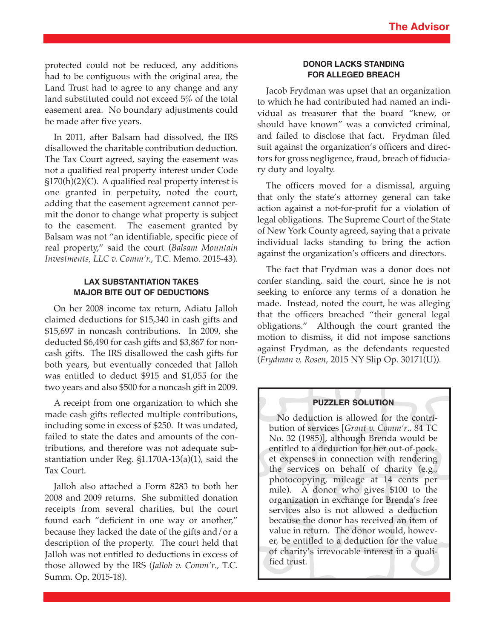protected could not be reduced, any additions had to be contiguous with the original area, the Land Trust had to agree to any change and any land substituted could not exceed 5% of the total easement area. No boundary adjustments could be made after five years.

In 2011, after Balsam had dissolved, the IRS disallowed the charitable contribution deduction. The Tax Court agreed, saying the easement was not a qualified real property interest under Code §170(h)(2)(C). A qualified real property interest is one granted in perpetuity, noted the court, adding that the easement agreement cannot permit the donor to change what property is subject to the easement. The easement granted by Balsam was not "an identifiable, specific piece of real property," said the court (*Balsam Mountain Investments, LLC v. Comm'r.*, T.C. Memo. 2015-43).

## **LAX SUBSTANTIATION TAKES MAJOR BITE OUT OF DEDUCTIONS**

On her 2008 income tax return, Adiatu Jalloh claimed deductions for \$15,340 in cash gifts and \$15,697 in noncash contributions. In 2009, she deducted \$6,490 for cash gifts and \$3,867 for noncash gifts. The IRS disallowed the cash gifts for both years, but eventually conceded that Jalloh was entitled to deduct \$915 and \$1,055 for the two years and also \$500 for a noncash gift in 2009.

A receipt from one organization to which she made cash gifts reflected multiple contributions, including some in excess of \$250. It was undated, failed to state the dates and amounts of the contributions, and therefore was not adequate substantiation under Reg. §1.170A-13(a)(1), said the Tax Court.

Jalloh also attached a Form 8283 to both her 2008 and 2009 returns. She submitted donation receipts from several charities, but the court found each "deficient in one way or another," because they lacked the date of the gifts and/or a description of the property. The court held that Jalloh was not entitled to deductions in excess of those allowed by the IRS (*Jalloh v. Comm'r*., T.C. Summ. Op. 2015-18).

### **DONOR LACKS STANDING FOR ALLEGED BREACH**

Jacob Frydman was upset that an organization to which he had contributed had named an individual as treasurer that the board "knew, or should have known" was a convicted criminal, and failed to disclose that fact. Frydman filed suit against the organization's officers and directors for gross negligence, fraud, breach of fiduciary duty and loyalty.

The officers moved for a dismissal, arguing that only the state's attorney general can take action against a not-for-profit for a violation of legal obligations. The Supreme Court of the State of New York County agreed, saying that a private individual lacks standing to bring the action against the organization's officers and directors.

The fact that Frydman was a donor does not confer standing, said the court, since he is not seeking to enforce any terms of a donation he made. Instead, noted the court, he was alleging that the officers breached "their general legal obligations." Although the court granted the motion to dismiss, it did not impose sanctions against Frydman, as the defendants requested (*Frydman v. Rosen*, 2015 NY Slip Op. 30171(U)).

### **PUZZLER SOLUTION**

No deduction is allowed for the contribution of services [*Grant v. Comm'r*., 84 TC No. 32 (1985)], although Brenda would be entitled to a deduction for her out-of-pocket expenses in connection with rendering the services on behalf of charity (e.g., photocopying, mileage at 14 cents per mile). A donor who gives \$100 to the organization in exchange for Brenda's free services also is not allowed a deduction because the donor has received an item of value in return. The donor would, however, be entitled to a deduction for the value of charity's irrevocable interest in a qualified trust.